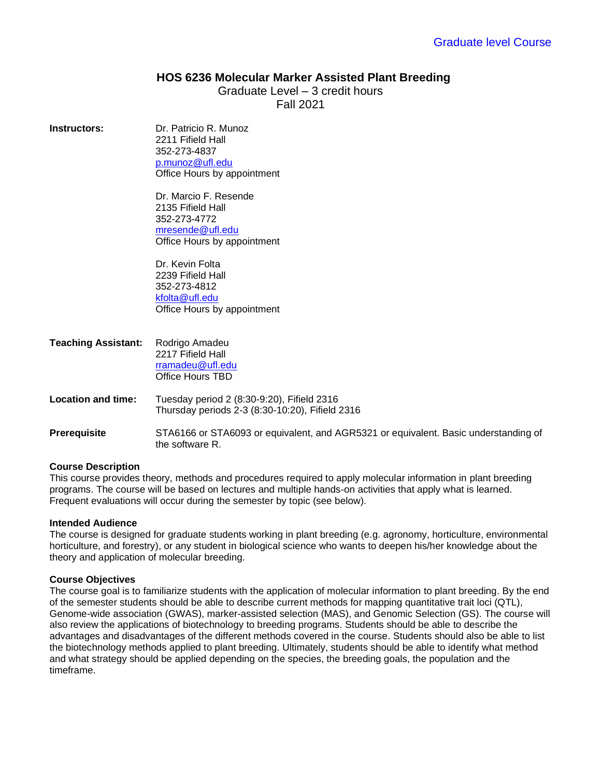# **HOS 6236 Molecular Marker Assisted Plant Breeding**

Graduate Level – 3 credit hours Fall 2021

**Instructors:** Dr. Patricio R. Munoz 2211 Fifield Hall 352-273-4837 [p.munoz@ufl.edu](mailto:p.munoz@ufl.edu) Office Hours by appointment

> Dr. Marcio F. Resende 2135 Fifield Hall 352-273-4772 [mresende@ufl.edu](mailto:mresende@ufl.edu) Office Hours by appointment

> Dr. Kevin Folta 2239 Fifield Hall 352-273-4812 [kfolta@ufl.edu](mailto:mresende@ufl.edu) Office Hours by appointment

| <b>Teaching Assistant:</b> | Rodrigo Amadeu<br>2217 Fifield Hall<br>rramadeu@ufl.edu<br>Office Hours TBD                            |  |
|----------------------------|--------------------------------------------------------------------------------------------------------|--|
| <b>Location and time:</b>  | Tuesday period 2 (8:30-9:20), Fifield 2316<br>Thursday periods 2-3 (8:30-10:20), Fifield 2316          |  |
| <b>Prerequisite</b>        | STA6166 or STA6093 or equivalent, and AGR5321 or equivalent. Basic understanding of<br>the software R. |  |

### **Course Description**

This course provides theory, methods and procedures required to apply molecular information in plant breeding programs. The course will be based on lectures and multiple hands-on activities that apply what is learned. Frequent evaluations will occur during the semester by topic (see below).

### **Intended Audience**

The course is designed for graduate students working in plant breeding (e.g. agronomy, horticulture, environmental horticulture, and forestry), or any student in biological science who wants to deepen his/her knowledge about the theory and application of molecular breeding.

### **Course Objectives**

The course goal is to familiarize students with the application of molecular information to plant breeding. By the end of the semester students should be able to describe current methods for mapping quantitative trait loci (QTL), Genome-wide association (GWAS), marker-assisted selection (MAS), and Genomic Selection (GS). The course will also review the applications of biotechnology to breeding programs. Students should be able to describe the advantages and disadvantages of the different methods covered in the course. Students should also be able to list the biotechnology methods applied to plant breeding. Ultimately, students should be able to identify what method and what strategy should be applied depending on the species, the breeding goals, the population and the timeframe.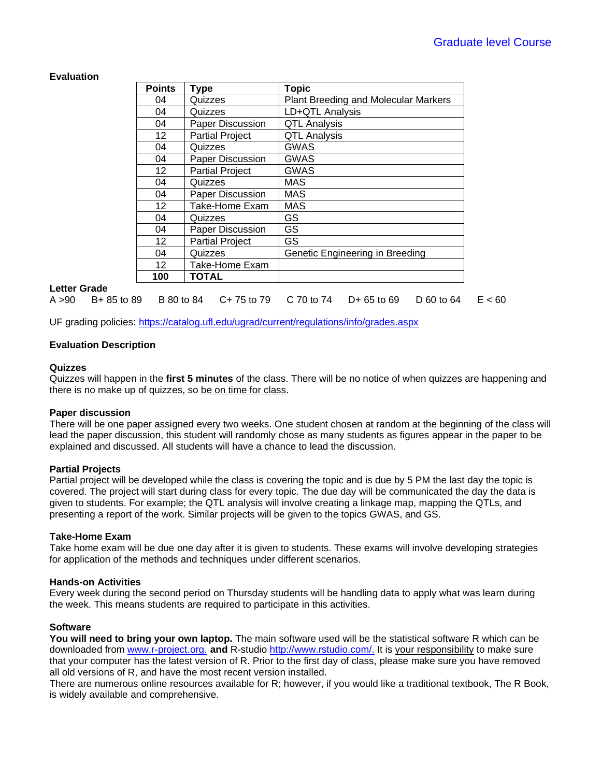# **Evaluation**

| <b>Points</b>     | Type                   | <b>Topic</b>                                |
|-------------------|------------------------|---------------------------------------------|
| 04                | Quizzes                | <b>Plant Breeding and Molecular Markers</b> |
| 04                | Quizzes                | LD+QTL Analysis                             |
| 04                | Paper Discussion       | <b>QTL Analysis</b>                         |
| 12                | <b>Partial Project</b> | <b>QTL Analysis</b>                         |
| 04                | Quizzes                | <b>GWAS</b>                                 |
| 04                | Paper Discussion       | <b>GWAS</b>                                 |
| $12 \overline{ }$ | <b>Partial Project</b> | GWAS                                        |
| 04                | Quizzes                | <b>MAS</b>                                  |
| 04                | Paper Discussion       | <b>MAS</b>                                  |
| $12 \overline{ }$ | Take-Home Exam         | <b>MAS</b>                                  |
| 04                | Quizzes                | <b>GS</b>                                   |
| 04                | Paper Discussion       | GS                                          |
| 12                | <b>Partial Project</b> | GS                                          |
| 04                | Quizzes                | Genetic Engineering in Breeding             |
| $12 \overline{ }$ | Take-Home Exam         |                                             |
| 100               | <b>TOTAL</b>           |                                             |

#### **Letter Grade**

A >90 B+ 85 to 89 B 80 to 84 C+ 75 to 79 C 70 to 74 D+ 65 to 69 D 60 to 64 E < 60

UF grading policies:<https://catalog.ufl.edu/ugrad/current/regulations/info/grades.aspx>

### **Evaluation Description**

#### **Quizzes**

Quizzes will happen in the **first 5 minutes** of the class. There will be no notice of when quizzes are happening and there is no make up of quizzes, so be on time for class.

#### **Paper discussion**

There will be one paper assigned every two weeks. One student chosen at random at the beginning of the class will lead the paper discussion, this student will randomly chose as many students as figures appear in the paper to be explained and discussed. All students will have a chance to lead the discussion.

#### **Partial Projects**

Partial project will be developed while the class is covering the topic and is due by 5 PM the last day the topic is covered. The project will start during class for every topic. The due day will be communicated the day the data is given to students. For example; the QTL analysis will involve creating a linkage map, mapping the QTLs, and presenting a report of the work. Similar projects will be given to the topics GWAS, and GS.

### **Take-Home Exam**

Take home exam will be due one day after it is given to students. These exams will involve developing strategies for application of the methods and techniques under different scenarios.

#### **Hands-on Activities**

Every week during the second period on Thursday students will be handling data to apply what was learn during the week. This means students are required to participate in this activities.

### **Software**

**You will need to bring your own laptop.** The main software used will be the statistical software R which can be downloaded from [www.r-project.org.](http://www.r-project.org/) **and** R-studio [http://www.rstudio.com/.](http://www.rstudio.com/) It is your responsibility to make sure that your computer has the latest version of R. Prior to the first day of class, please make sure you have removed all old versions of R, and have the most recent version installed.

There are numerous online resources available for R; however, if you would like a traditional textbook, The R Book, is widely available and comprehensive.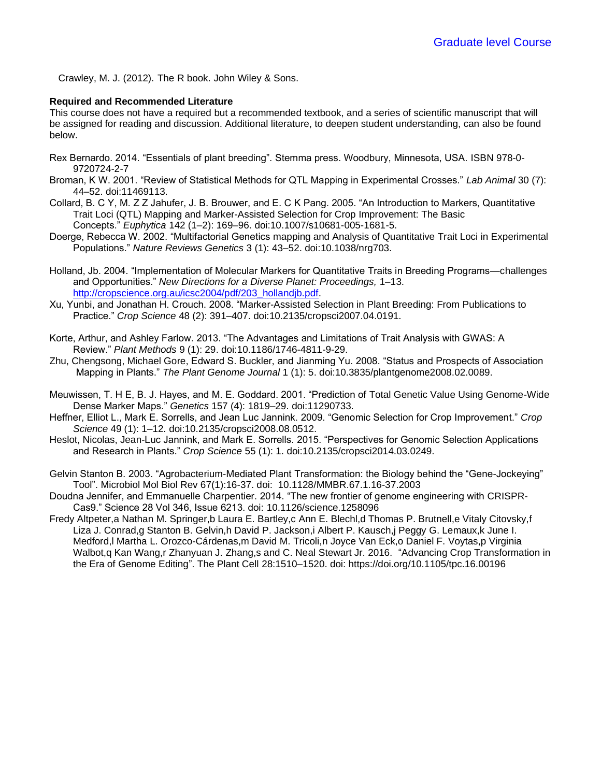Crawley, M. J. (2012). The R book. John Wiley & Sons.

### **Required and Recommended Literature**

This course does not have a required but a recommended textbook, and a series of scientific manuscript that will be assigned for reading and discussion. Additional literature, to deepen student understanding, can also be found below.

- Rex Bernardo. 2014. "Essentials of plant breeding". Stemma press. Woodbury, Minnesota, USA. ISBN 978-0- 9720724-2-7
- Broman, K W. 2001. "Review of Statistical Methods for QTL Mapping in Experimental Crosses." *Lab Animal* 30 (7): 44–52. doi:11469113.
- Collard, B. C Y, M. Z Z Jahufer, J. B. Brouwer, and E. C K Pang. 2005. "An Introduction to Markers, Quantitative Trait Loci (QTL) Mapping and Marker-Assisted Selection for Crop Improvement: The Basic Concepts." *Euphytica* 142 (1–2): 169–96. doi:10.1007/s10681-005-1681-5.
- Doerge, Rebecca W. 2002. "Multifactorial Genetics mapping and Analysis of Quantitative Trait Loci in Experimental Populations." *Nature Reviews Genetics* 3 (1): 43–52. doi:10.1038/nrg703.
- Holland, Jb. 2004. "Implementation of Molecular Markers for Quantitative Traits in Breeding Programs—challenges and Opportunities." *New Directions for a Diverse Planet: Proceedings,* 1–13. [http://cropscience.org.au/icsc2004/pdf/203\\_hollandjb.pdf.](http://cropscience.org.au/icsc2004/pdf/203_hollandjb.pdf)
- Xu, Yunbi, and Jonathan H. Crouch. 2008. "Marker-Assisted Selection in Plant Breeding: From Publications to Practice." *Crop Science* 48 (2): 391–407. doi:10.2135/cropsci2007.04.0191.
- Korte, Arthur, and Ashley Farlow. 2013. "The Advantages and Limitations of Trait Analysis with GWAS: A Review." *Plant Methods* 9 (1): 29. doi:10.1186/1746-4811-9-29.
- Zhu, Chengsong, Michael Gore, Edward S. Buckler, and Jianming Yu. 2008. "Status and Prospects of Association Mapping in Plants." *The Plant Genome Journal* 1 (1): 5. doi:10.3835/plantgenome2008.02.0089.
- Meuwissen, T. H E, B. J. Hayes, and M. E. Goddard. 2001. "Prediction of Total Genetic Value Using Genome-Wide Dense Marker Maps." *Genetics* 157 (4): 1819–29. doi:11290733.
- Heffner, Elliot L., Mark E. Sorrells, and Jean Luc Jannink. 2009. "Genomic Selection for Crop Improvement." *Crop Science* 49 (1): 1–12. doi:10.2135/cropsci2008.08.0512.
- Heslot, Nicolas, Jean-Luc Jannink, and Mark E. Sorrells. 2015. "Perspectives for Genomic Selection Applications and Research in Plants." *Crop Science* 55 (1): 1. doi:10.2135/cropsci2014.03.0249.
- Gelvin Stanton B. 2003. "Agrobacterium-Mediated Plant Transformation: the Biology behind the "Gene-Jockeying" Tool". Microbiol Mol Biol Rev 67(1):16-37. doi: 10.1128/MMBR.67.1.16-37.2003
- Doudna Jennifer, and Emmanuelle Charpentier. 2014. "The new frontier of genome engineering with CRISPR-Cas9." Science 28 Vol 346, Issue 6213. doi: 10.1126/science.1258096
- Fredy Altpeter,a Nathan M. Springer,b Laura E. Bartley,c Ann E. Blechl,d Thomas P. Brutnell,e Vitaly Citovsky,f Liza J. Conrad,g Stanton B. Gelvin,h David P. Jackson,i Albert P. Kausch,j Peggy G. Lemaux,k June I. Medford,l Martha L. Orozco-Cárdenas,m David M. Tricoli,n Joyce Van Eck,o Daniel F. Voytas,p Virginia Walbot,q Kan Wang,r Zhanyuan J. Zhang,s and C. Neal Stewart Jr. 2016. "Advancing Crop Transformation in the Era of Genome Editing". The Plant Cell 28:1510–1520. doi: https://doi.org/10.1105/tpc.16.00196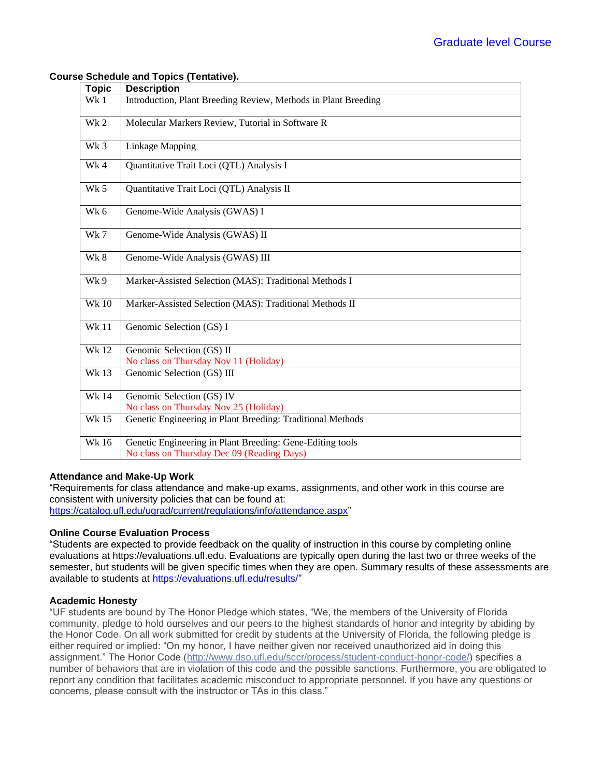### **Course Schedule and Topics (Tentative).**

| <b>Topic</b> | <b>Description</b>                                                                                      |
|--------------|---------------------------------------------------------------------------------------------------------|
| Wk 1         | Introduction, Plant Breeding Review, Methods in Plant Breeding                                          |
| Wk 2         | Molecular Markers Review, Tutorial in Software R                                                        |
| Wk 3         | <b>Linkage Mapping</b>                                                                                  |
| Wk4          | Quantitative Trait Loci (QTL) Analysis I                                                                |
| Wk 5         | Quantitative Trait Loci (QTL) Analysis II                                                               |
| Wk 6         | Genome-Wide Analysis (GWAS) I                                                                           |
| Wk 7         | Genome-Wide Analysis (GWAS) II                                                                          |
| Wk 8         | Genome-Wide Analysis (GWAS) III                                                                         |
| Wk 9         | Marker-Assisted Selection (MAS): Traditional Methods I                                                  |
| <b>Wk 10</b> | Marker-Assisted Selection (MAS): Traditional Methods II                                                 |
| <b>Wk11</b>  | Genomic Selection (GS) I                                                                                |
| <b>Wk12</b>  | Genomic Selection (GS) II<br>No class on Thursday Nov 11 (Holiday)                                      |
| <b>Wk13</b>  | Genomic Selection (GS) III                                                                              |
| <b>Wk 14</b> | Genomic Selection (GS) IV<br>No class on Thursday Nov 25 (Holiday)                                      |
| Wk 15        | Genetic Engineering in Plant Breeding: Traditional Methods                                              |
| <b>Wk 16</b> | Genetic Engineering in Plant Breeding: Gene-Editing tools<br>No class on Thursday Dec 09 (Reading Days) |

# **Attendance and Make-Up Work**

"Requirements for class attendance and make-up exams, assignments, and other work in this course are consistent with university policies that can be found at: [https://catalog.ufl.edu/ugrad/current/regulations/info/attendance.aspx"](https://catalog.ufl.edu/ugrad/current/regulations/info/attendance.aspx)

### **Online Course Evaluation Process**

"Students are expected to provide feedback on the quality of instruction in this course by completing online evaluations at https://evaluations.ufl.edu. Evaluations are typically open during the last two or three weeks of the semester, but students will be given specific times when they are open. Summary results of these assessments are available to students at [https://evaluations.ufl.edu/results/"](https://evaluations.ufl.edu/results/)

### **Academic Honesty**

"UF students are bound by The Honor Pledge which states, "We, the members of the University of Florida community, pledge to hold ourselves and our peers to the highest standards of honor and integrity by abiding by the Honor Code. On all work submitted for credit by students at the University of Florida, the following pledge is either required or implied: "On my honor, I have neither given nor received unauthorized aid in doing this assignment." The Honor Code [\(http://www.dso.ufl.edu/sccr/process/student-conduct-honor-code/\)](http://www.dso.ufl.edu/sccr/process/student-conduct-honor-code/) specifies a number of behaviors that are in violation of this code and the possible sanctions. Furthermore, you are obligated to report any condition that facilitates academic misconduct to appropriate personnel. If you have any questions or concerns, please consult with the instructor or TAs in this class."